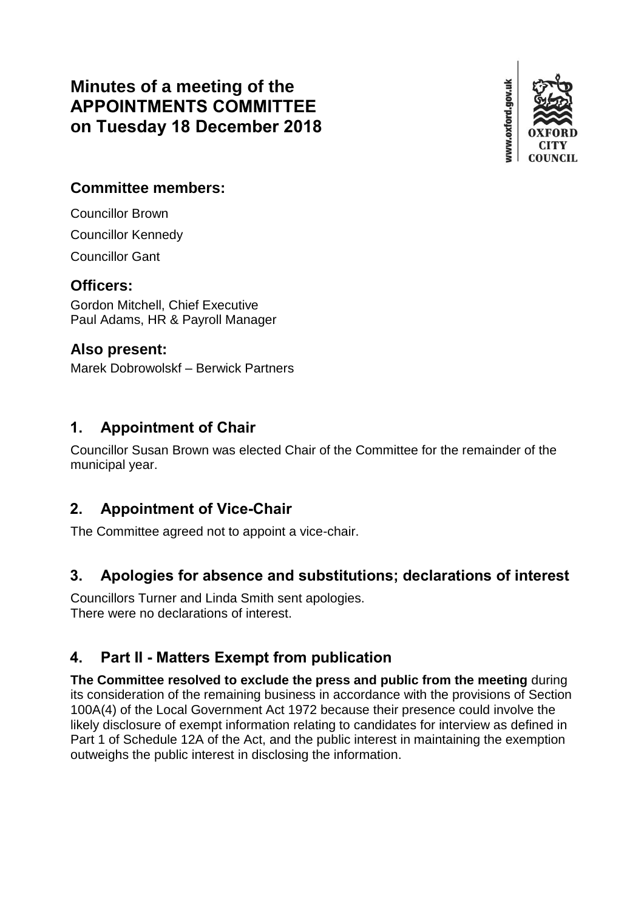# **Minutes of a meeting of the APPOINTMENTS COMMITTEE on Tuesday 18 December 2018**



#### **Committee members:**

Councillor Brown

Councillor Kennedy

Councillor Gant

## **Officers:**

Gordon Mitchell, Chief Executive Paul Adams, HR & Payroll Manager

## **Also present:**

Marek Dobrowolskf – Berwick Partners

# **1. Appointment of Chair**

Councillor Susan Brown was elected Chair of the Committee for the remainder of the municipal year.

# **2. Appointment of Vice-Chair**

The Committee agreed not to appoint a vice-chair.

## **3. Apologies for absence and substitutions; declarations of interest**

Councillors Turner and Linda Smith sent apologies. There were no declarations of interest.

# **4. Part II - Matters Exempt from publication**

**The Committee resolved to exclude the press and public from the meeting** during its consideration of the remaining business in accordance with the provisions of Section 100A(4) of the Local Government Act 1972 because their presence could involve the likely disclosure of exempt information relating to candidates for interview as defined in Part 1 of Schedule 12A of the Act, and the public interest in maintaining the exemption outweighs the public interest in disclosing the information.